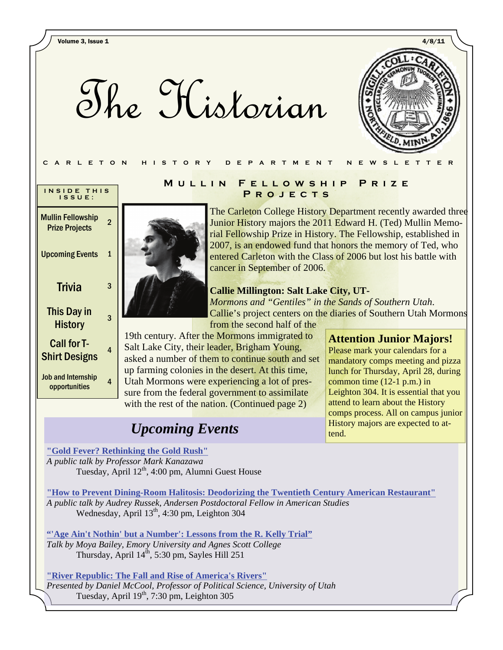The Historian



| INSIDE THIS<br>ISSUE:                             |   |
|---------------------------------------------------|---|
| <b>Mullin Fellowship</b><br><b>Prize Projects</b> | 2 |
| <b>Upcoming Events</b>                            | 1 |
| Trivia                                            | 3 |
| This Day in<br>History                            | 3 |
| Call for T-<br><b>Shirt Designs</b>               | 4 |
| <b>Job and Internship</b><br>opportunities        | 4 |

#### **Mullin Fellowship Prize PROJECTS**

The Carleton College History Department recently awarded three Junior History majors the 2011 Edward H. (Ted) Mullin Memorial Fellowship Prize in History. The Fellowship, established in 2007, is an endowed fund that honors the memory of Ted, who entered Carleton with the Class of 2006 but lost his battle with cancer in September of 2006.

#### **Callie Millington: Salt Lake City, UT-**

*Mormons and "Gentiles" in the Sands of Southern Utah*. Callie's project centers on the diaries of Southern Utah Mormons from the second half of the

19th century. After the Mormons immigrated to Salt Lake City, their leader, Brigham Young, asked a number of them to continue south and set up farming colonies in the desert. At this time, Utah Mormons were experiencing a lot of pressure from the federal government to assimilate with the rest of the nation. (Continued page 2)

# *Upcoming Events*

### **Attention Junior Majors!**

Please mark your calendars for a mandatory comps meeting and pizza lunch for Thursday, April 28, during common time (12-1 p.m.) in Leighton 304. It is essential that you attend to learn about the History comps process. All on campus junior History majors are expected to attend.

**["Gold Fever? Rethinking the Gold Rush"](http://apps.carleton.edu/curricular/ents/events/?event_id=721594)** *A public talk by Professor Mark Kanazawa* Tuesday, April 12<sup>th</sup>, 4:00 pm, Alumni Guest House

**["How to Prevent Dining-Room Halitosis: Deodorizing the Twentieth Century American Restaurant"](http://apps.carleton.edu/curricular/amst/events/?event_id=723403)** *A public talk by Audrey Russek, Andersen Postdoctoral Fellow in American Studies*  Wednesday, April 13<sup>th</sup>, 4:30 pm, Leighton 304

**["'Age Ain't Nothin' but a Number': Lessons from the R. Kelly Trial"](http://apps.carleton.edu/campus/ethic/events/?event_id=704637)** *Talk by Moya Bailey, Emory University and Agnes Scott College*  Thursday, April 14<sup>th</sup>, 5:30 pm, Sayles Hill 251

**["River Republic: The Fall and Rise of America's Rivers"](http://apps.carleton.edu/curricular/ents/events/?event_id=721592)** *Presented by Daniel McCool, Professor of Political Science, University of Utah*  Tuesday, April 19<sup>th</sup>, 7:30 pm, Leighton 305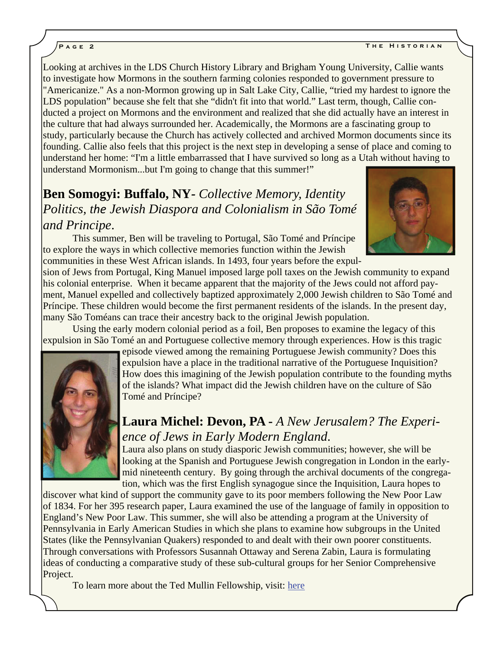Looking at archives in the LDS Church History Library and Brigham Young University, Callie wants to investigate how Mormons in the southern farming colonies responded to government pressure to "Americanize." As a non-Mormon growing up in Salt Lake City, Callie, "tried my hardest to ignore the LDS population" because she felt that she "didn't fit into that world." Last term, though, Callie conducted a project on Mormons and the environment and realized that she did actually have an interest in the culture that had always surrounded her. Academically, the Mormons are a fascinating group to study, particularly because the Church has actively collected and archived Mormon documents since its founding. Callie also feels that this project is the next step in developing a sense of place and coming to understand her home: "I'm a little embarrassed that I have survived so long as a Utah without having to understand Mormonism...but I'm going to change that this summer!"

**Ben Somogyi: Buffalo, NY***- Collective Memory, Identity Politics, the Jewish Diaspora and Colonialism in São Tomé and Principe*.

This summer, Ben will be traveling to Portugal, São Tomé and Príncipe to explore the ways in which collective memories function within the Jewish communities in these West African islands. In 1493, four years before the expul-



sion of Jews from Portugal, King Manuel imposed large poll taxes on the Jewish community to expand his colonial enterprise. When it became apparent that the majority of the Jews could not afford payment, Manuel expelled and collectively baptized approximately 2,000 Jewish children to São Tomé and Príncipe. These children would become the first permanent residents of the islands. In the present day, many São Toméans can trace their ancestry back to the original Jewish population.

Using the early modern colonial period as a foil, Ben proposes to examine the legacy of this expulsion in São Tomé an and Portuguese collective memory through experiences. How is this tragic



episode viewed among the remaining Portuguese Jewish community? Does this expulsion have a place in the traditional narrative of the Portuguese Inquisition? How does this imagining of the Jewish population contribute to the founding myths of the islands? What impact did the Jewish children have on the culture of São Tomé and Príncipe?

## **Laura Michel: Devon, PA -** *A New Jerusalem? The Experience of Jews in Early Modern England*.

Laura also plans on study diasporic Jewish communities; however, she will be looking at the Spanish and Portuguese Jewish congregation in London in the earlymid nineteenth century. By going through the archival documents of the congregation, which was the first English synagogue since the Inquisition, Laura hopes to

discover what kind of support the community gave to its poor members following the New Poor Law of 1834. For her 395 research paper, Laura examined the use of the language of family in opposition to England's New Poor Law. This summer, she will also be attending a program at the University of Pennsylvania in Early American Studies in which she plans to examine how subgroups in the United States (like the Pennsylvanian Quakers) responded to and dealt with their own poorer constituents. Through conversations with Professors Susannah Ottaway and Serena Zabin, Laura is formulating ideas of conducting a comparative study of these sub-cultural groups for her Senior Comprehensive Project.

To learn more about the Ted Mullin Fellowship, visit: [here](https://apps.carleton.edu/curricular/history/MullinMemorialFellowship2010/)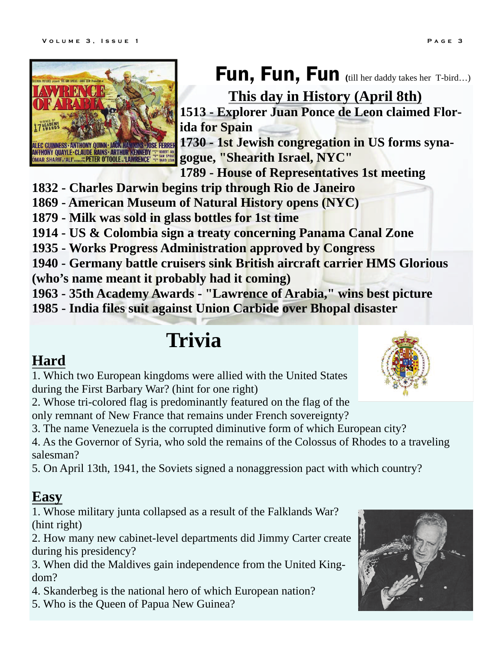

Fun, Fun, Fun (till her daddy takes her T-bird…)

**This day in History (April 8th) 1513 - Explorer Juan Ponce de Leon claimed Florida for Spain** 

**1730 - 1st Jewish congregation in US forms synagogue, "Shearith Israel, NYC"** 

**1789 - House of Representatives 1st meeting** 

- **1832 Charles Darwin begins trip through Rio de Janeiro**
- **1869 American Museum of Natural History opens (NYC)**
- **1879 Milk was sold in glass bottles for 1st time**
- **1914 US & Colombia sign a treaty concerning Panama Canal Zone**
- **1935 Works Progress Administration approved by Congress**
- **1940 Germany battle cruisers sink British aircraft carrier HMS Glorious (who's name meant it probably had it coming)**

**1963 - 35th Academy Awards - "Lawrence of Arabia," wins best picture** 

**1985 - India files suit against Union Carbide over Bhopal disaster** 

# **Trivia**

# **Hard**

1. Which two European kingdoms were allied with the United States during the First Barbary War? (hint for one right)

2. Whose tri-colored flag is predominantly featured on the flag of the only remnant of New France that remains under French sovereignty?

3. The name Venezuela is the corrupted diminutive form of which European city?

4. As the Governor of Syria, who sold the remains of the Colossus of Rhodes to a traveling salesman?

5. On April 13th, 1941, the Soviets signed a nonaggression pact with which country?

# **Easy**

1. Whose military junta collapsed as a result of the Falklands War? (hint right)

2. How many new cabinet-level departments did Jimmy Carter create during his presidency?

3. When did the Maldives gain independence from the United Kingdom?

4. Skanderbeg is the national hero of which European nation?

5. Who is the Queen of Papua New Guinea?